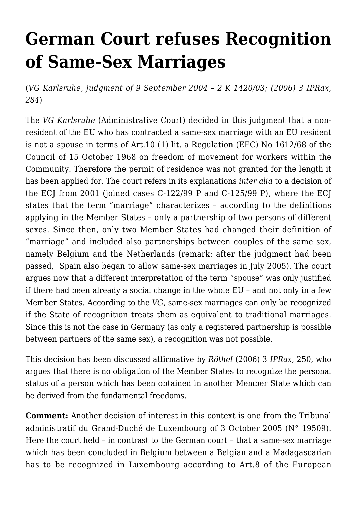## **[German Court refuses Recognition](https://conflictoflaws.net/2006/recognition-of-same-sex-marriages-in-the-german-courts/) [of Same-Sex Marriages](https://conflictoflaws.net/2006/recognition-of-same-sex-marriages-in-the-german-courts/)**

(*VG Karlsruhe, judgment of 9 September 2004 – 2 K 1420/03; (2006) 3 IPRax, 284*)

The *VG Karlsruhe* (Administrative Court) decided in this judgment that a nonresident of the EU who has contracted a same-sex marriage with an EU resident is not a spouse in terms of Art.10 (1) lit. a Regulation (EEC) No 1612/68 of the Council of 15 October 1968 on freedom of movement for workers within the Community. Therefore the permit of residence was not granted for the length it has been applied for. The court refers in its explanations *inter alia* to a decision of the ECJ from 2001 (joined cases [C-122/99 P](http://curia.europa.eu/jurisp/cgi-bin/form.pl?lang=en&Submit=Rechercher&alldocs=alldocs&docj=docj&docop=docop&docor=docor&docjo=docjo&numaff=C-122/99&datefs=&datefe=&nomusuel=&domaine=&mots=&resmax=100) and [C-125/99 P\)](http://curia.europa.eu/jurisp/cgi-bin/form.pl?lang=en&Submit=Rechercher&alldocs=alldocs&docj=docj&docop=docop&docor=docor&docjo=docjo&numaff=C-125/99&datefs=&datefe=&nomusuel=&domaine=&mots=&resmax=100), where the ECJ states that the term "marriage" characterizes – according to the definitions applying in the Member States – only a partnership of two persons of different sexes. Since then, only two Member States had changed their definition of "marriage" and included also partnerships between couples of the same sex, namely Belgium and the Netherlands (remark: after the judgment had been passed, Spain also began to allow same-sex marriages in July 2005). The court argues now that a different interpretation of the term "spouse" was only justified if there had been already a social change in the whole EU – and not only in a few Member States. According to the *VG,* same-sex marriages can only be recognized if the State of recognition treats them as equivalent to traditional marriages. Since this is not the case in Germany (as only a registered partnership is possible between partners of the same sex), a recognition was not possible.

This decision has been discussed affirmative by *Röthel* (2006) 3 *IPRax*, 250, who argues that there is no obligation of the Member States to recognize the personal status of a person which has been obtained in another Member State which can be derived from the fundamental freedoms.

**Comment:** Another decision of interest in this context is one from the Tribunal administratif du Grand-Duché de Luxembourg of 3 October 2005 ([N° 19509\)](https://conflictoflaws.de/wp-admin/www.ja.etat.lu/19509.doc). Here the court held – in contrast to the German court – that a same-sex marriage which has been concluded in Belgium between a Belgian and a Madagascarian has to be recognized in Luxembourg according to Art.8 of the European